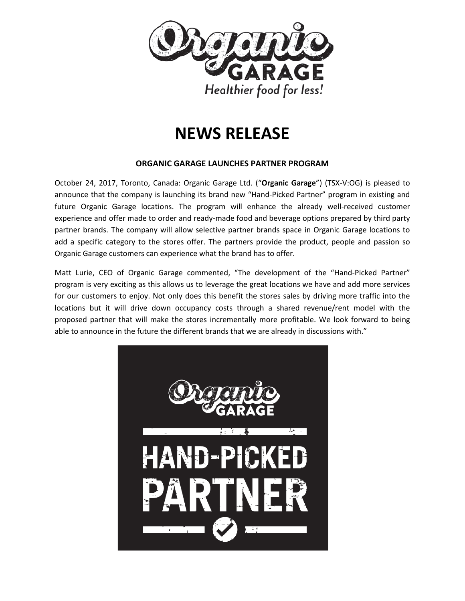

# **NEWS RELEASE**

## **ORGANIC GARAGE LAUNCHES PARTNER PROGRAM**

October 24, 2017, Toronto, Canada: Organic Garage Ltd. ("**Organic Garage**") (TSX-V:OG) is pleased to announce that the company is launching its brand new "Hand-Picked Partner" program in existing and future Organic Garage locations. The program will enhance the already well-received customer experience and offer made to order and ready-made food and beverage options prepared by third party partner brands. The company will allow selective partner brands space in Organic Garage locations to add a specific category to the stores offer. The partners provide the product, people and passion so Organic Garage customers can experience what the brand has to offer.

Matt Lurie, CEO of Organic Garage commented, "The development of the "Hand-Picked Partner" program is very exciting as this allows us to leverage the great locations we have and add more services for our customers to enjoy. Not only does this benefit the stores sales by driving more traffic into the locations but it will drive down occupancy costs through a shared revenue/rent model with the proposed partner that will make the stores incrementally more profitable. We look forward to being able to announce in the future the different brands that we are already in discussions with."